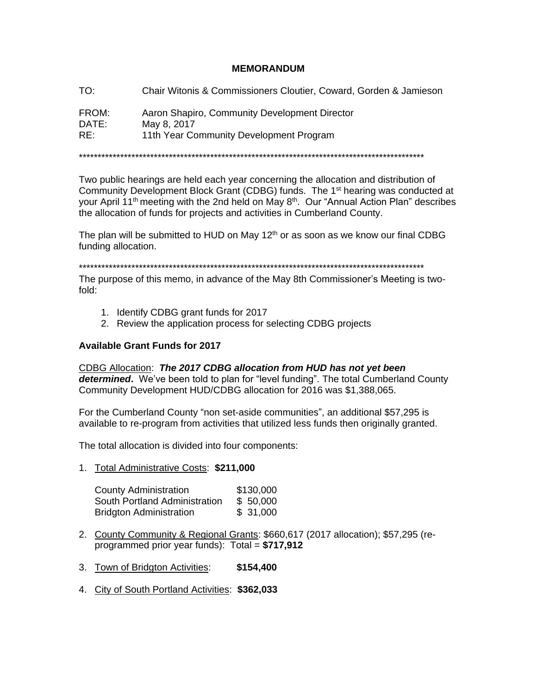### **MEMORANDUM**

T∩∙ Chair Witonis & Commissioners Cloutier, Coward, Gorden & Jamieson

FROM: Aaron Shapiro, Community Development Director DATE: May 8, 2017  $RE:$ 11th Year Community Development Program

Two public hearings are held each year concerning the allocation and distribution of Community Development Block Grant (CDBG) funds. The 1<sup>st</sup> hearing was conducted at your April 11<sup>th</sup> meeting with the 2nd held on May 8<sup>th</sup>. Our "Annual Action Plan" describes the allocation of funds for projects and activities in Cumberland County.

The plan will be submitted to HUD on May 12<sup>th</sup> or as soon as we know our final CDBG funding allocation.

The purpose of this memo, in advance of the May 8th Commissioner's Meeting is twofold:

- 1. Identify CDBG grant funds for 2017
- 2. Review the application process for selecting CDBG projects

#### **Available Grant Funds for 2017**

CDBG Allocation: The 2017 CDBG allocation from HUD has not yet been determined. We've been told to plan for "level funding". The total Cumberland County Community Development HUD/CDBG allocation for 2016 was \$1,388,065.

For the Cumberland County "non set-aside communities", an additional \$57,295 is available to re-program from activities that utilized less funds then originally granted.

The total allocation is divided into four components:

1. Total Administrative Costs: \$211,000

| <b>County Administration</b>   | \$130,000 |
|--------------------------------|-----------|
| South Portland Administration  | \$50,000  |
| <b>Bridgton Administration</b> | \$31,000  |

- 2. County Community & Regional Grants: \$660,617 (2017 allocation); \$57,295 (reprogrammed prior year funds):  $Total = $717,912$
- 3. Town of Bridgton Activities: \$154,400
- 4. City of South Portland Activities: \$362,033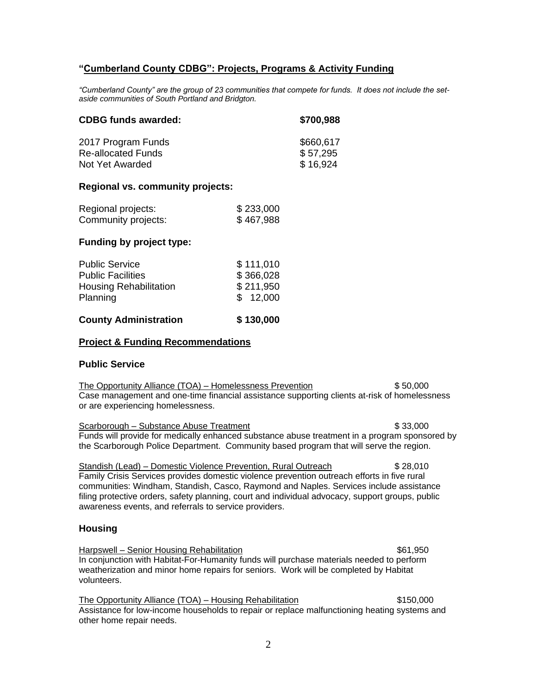### **"Cumberland County CDBG": Projects, Programs & Activity Funding**

*"Cumberland County" are the group of 23 communities that compete for funds. It does not include the setaside communities of South Portland and Bridgton.*

| <b>CDBG funds awarded:</b> | \$700,988 |
|----------------------------|-----------|
| 2017 Program Funds         | \$660,617 |
| <b>Re-allocated Funds</b>  | \$57,295  |
| Not Yet Awarded            | \$16,924  |

#### **Regional vs. community projects:**

| Regional projects:  | \$233,000 |
|---------------------|-----------|
| Community projects: | \$467,988 |

### **Funding by project type:**

| <b>County Administration</b>              | \$130,000             |
|-------------------------------------------|-----------------------|
| <b>Housing Rehabilitation</b><br>Planning | \$211,950<br>\$12,000 |
| <b>Public Facilities</b>                  | \$366,028             |
| <b>Public Service</b>                     | \$111,010             |
|                                           |                       |

#### **Project & Funding Recommendations**

#### **Public Service**

The Opportunity Alliance (TOA) – Homelessness Prevention  $$50,000$ Case management and one-time financial assistance supporting clients at-risk of homelessness or are experiencing homelessness.

Scarborough – Substance Abuse Treatment  $$33,000$ Funds will provide for medically enhanced substance abuse treatment in a program sponsored by the Scarborough Police Department. Community based program that will serve the region.

Standish (Lead) – Domestic Violence Prevention, Rural Outreach \$ 28,010 Family Crisis Services provides domestic violence prevention outreach efforts in five rural communities: Windham, Standish, Casco, Raymond and Naples. Services include assistance filing protective orders, safety planning, court and individual advocacy, support groups, public awareness events, and referrals to service providers.

### **Housing**

Harpswell – Senior Housing Rehabilitation **\$61,950** (\$61,950) In conjunction with Habitat-For-Humanity funds will purchase materials needed to perform weatherization and minor home repairs for seniors. Work will be completed by Habitat volunteers.

The Opportunity Alliance (TOA) – Housing Rehabilitation  $$150,000$ Assistance for low-income households to repair or replace malfunctioning heating systems and other home repair needs.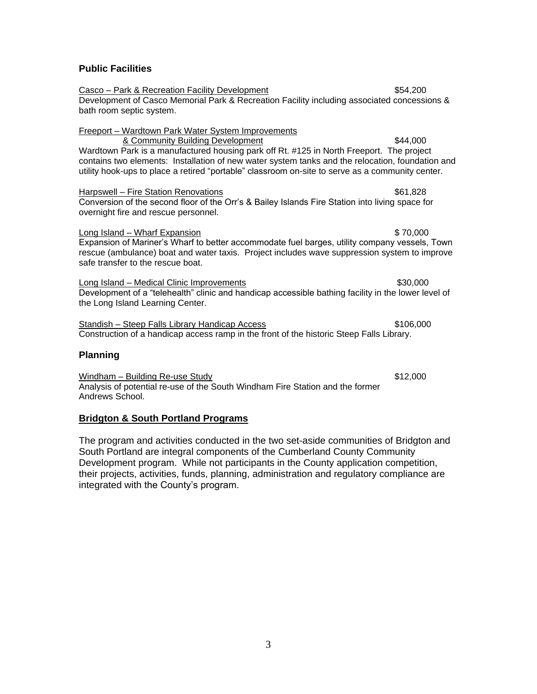### **Public Facilities**

Casco – Park & Recreation Facility Development  $$54,200$ Development of Casco Memorial Park & Recreation Facility including associated concessions & bath room septic system. Freeport – Wardtown Park Water System Improvements & Community Building Development \$44,000 Wardtown Park is a manufactured housing park off Rt. #125 in North Freeport. The project contains two elements: Installation of new water system tanks and the relocation, foundation and utility hook-ups to place a retired "portable" classroom on-site to serve as a community center. Harpswell – Fire Station Renovations **\$61,828** (\$61,828) Conversion of the second floor of the Orr's & Bailey Islands Fire Station into living space for overnight fire and rescue personnel. Long Island – Wharf Expansion \$ 70,000 Expansion of Mariner's Wharf to better accommodate fuel barges, utility company vessels, Town rescue (ambulance) boat and water taxis. Project includes wave suppression system to improve safe transfer to the rescue boat. Long Island – Medical Clinic Improvements **\$30,000** \$30,000 Development of a "telehealth" clinic and handicap accessible bathing facility in the lower level of the Long Island Learning Center. Standish – Steep Falls Library Handicap Access \$106,000 Construction of a handicap access ramp in the front of the historic Steep Falls Library. **Planning**

Windham – Building Re-use Study **\$12,000 \$12,000** Analysis of potential re-use of the South Windham Fire Station and the former Andrews School.

### **Bridgton & South Portland Programs**

The program and activities conducted in the two set-aside communities of Bridgton and South Portland are integral components of the Cumberland County Community Development program. While not participants in the County application competition, their projects, activities, funds, planning, administration and regulatory compliance are integrated with the County's program.

3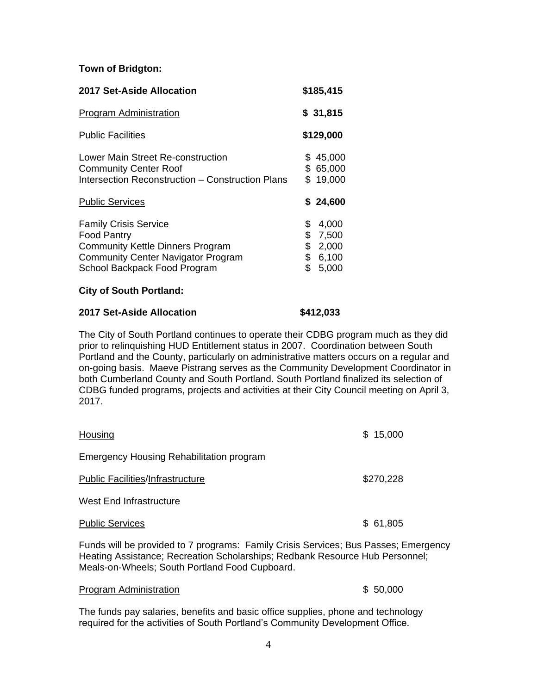### **Town of Bridgton:**

| 2017 Set-Aside Allocation                                                                                                                                                  |                            | \$185,415                                 |
|----------------------------------------------------------------------------------------------------------------------------------------------------------------------------|----------------------------|-------------------------------------------|
| <b>Program Administration</b>                                                                                                                                              |                            | \$31,815                                  |
| <b>Public Facilities</b>                                                                                                                                                   |                            | \$129,000                                 |
| Lower Main Street Re-construction<br><b>Community Center Roof</b><br>Intersection Reconstruction – Construction Plans<br><b>Public Services</b>                            | \$<br>\$                   | 45,000<br>65,000<br>\$19,000<br>\$24,600  |
| <b>Family Crisis Service</b><br><b>Food Pantry</b><br><b>Community Kettle Dinners Program</b><br><b>Community Center Navigator Program</b><br>School Backpack Food Program | \$<br>\$<br>\$<br>\$<br>\$ | 4,000<br>7,500<br>2,000<br>6,100<br>5,000 |

## **City of South Portland:**

# **2017 Set-Aside Allocation \$412,033**

The City of South Portland continues to operate their CDBG program much as they did prior to relinquishing HUD Entitlement status in 2007. Coordination between South Portland and the County, particularly on administrative matters occurs on a regular and on-going basis. Maeve Pistrang serves as the Community Development Coordinator in both Cumberland County and South Portland. South Portland finalized its selection of CDBG funded programs, projects and activities at their City Council meeting on April 3, 2017.

| Housing                                  | \$15,000  |
|------------------------------------------|-----------|
| Emergency Housing Rehabilitation program |           |
| <b>Public Facilities/Infrastructure</b>  | \$270,228 |
| West End Infrastructure                  |           |
| <b>Public Services</b>                   | \$61,805  |

Funds will be provided to 7 programs: Family Crisis Services; Bus Passes; Emergency Heating Assistance; Recreation Scholarships; Redbank Resource Hub Personnel; Meals-on-Wheels; South Portland Food Cupboard.

## Program Administration **\$ 50,000**

The funds pay salaries, benefits and basic office supplies, phone and technology required for the activities of South Portland's Community Development Office.